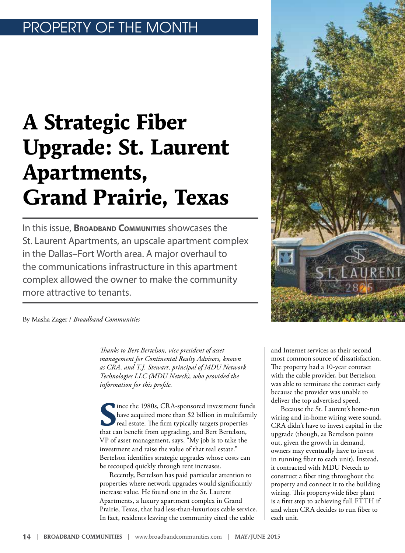# OPERTY OF THE MONTH

# **A Strategic Fiber Upgrade: St. Laurent Apartments, Grand Prairie, Texas**

In this issue, **Broadband Communities** showcases the St. Laurent Apartments, an upscale apartment complex in the Dallas–Fort Worth area. A major overhaul to the communications infrastructure in this apartment complex allowed the owner to make the community more attractive to tenants.



By Masha Zager / *Broadband Communities*

*Thanks to Bert Bertelson, vice president of asset management for Continental Realty Advisors, known as CRA, and T.J. Stewart, principal of MDU Network Technologies LLC (MDU Netech), who provided the information for this profile.* 

Since the 1980s, CRA-sponsored investment funds<br>
have acquired more than \$2 billion in multifamily<br>
real estate. The firm typically targets properties<br>
that can bonefit from ungrading, and Bort Bartelon. have acquired more than \$2 billion in multifamily real estate. The firm typically targets properties that can benefit from upgrading, and Bert Bertelson, VP of asset management, says, "My job is to take the investment and raise the value of that real estate." Bertelson identifies strategic upgrades whose costs can be recouped quickly through rent increases.

Recently, Bertelson has paid particular attention to properties where network upgrades would significantly increase value. He found one in the St. Laurent Apartments, a luxury apartment complex in Grand Prairie, Texas, that had less-than-luxurious cable service. In fact, residents leaving the community cited the cable

and Internet services as their second most common source of dissatisfaction. The property had a 10-year contract with the cable provider, but Bertelson was able to terminate the contract early because the provider was unable to deliver the top advertised speed.

Because the St. Laurent's home-run wiring and in-home wiring were sound, CRA didn't have to invest capital in the upgrade (though, as Bertelson points out, given the growth in demand, owners may eventually have to invest in running fiber to each unit). Instead, it contracted with MDU Netech to construct a fiber ring throughout the property and connect it to the building wiring. This propertywide fiber plant is a first step to achieving full FTTH if and when CRA decides to run fiber to each unit.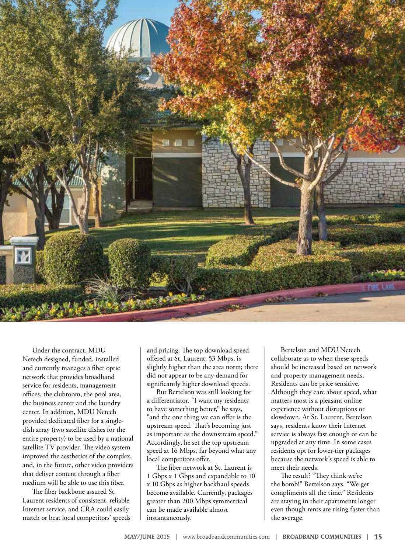

Under the contract, MDU Netech designed, funded, installed and currently manages a fiber optic network that provides broadband service for residents, management offices, the clubroom, the pool area, the business center and the laundry center. In addition, MDU Netech provided dedicated fiber for a singledish array (two satellite dishes for the entire property) to be used by a national satellite TV provider. The video system improved the aesthetics of the complex, and, in the future, other video providers that deliver content through a fiber medium will be able to use this fiber.

The fiber backbone assured St. Laurent residents of consistent, reliable Internet service, and CRA could easily match or beat local competitors' speeds and pricing. The top download speed offered at St. Laurent, 53 Mbps, is slightly higher than the area norm; there did not appear to be any demand for significantly higher download speeds.

But Bertelson was still looking for a differentiator. "I want my residents to have something better," he says, "and the one thing we can offer is the upstream speed. That's becoming just as important as the downstream speed." Accordingly, he set the top upstream speed at 16 Mbps, far beyond what any local competitors offer.

The fiber network at St. Laurent is 1 Gbps x 1 Gbps and expandable to 10 x 10 Gbps as higher backhaul speeds become available. Currently, packages greater than 200 Mbps symmetrical can be made available almost instantaneously.

Bertelson and MDU Netech collaborate as to when these speeds should be increased based on network and property management needs. Residents can be price sensitive. Although they care about speed, what matters most is a pleasant online experience without disruptions or slowdown. At St. Laurent, Bertelson says, residents know their Internet service is always fast enough or can be upgraded at any time. In some cases residents opt for lower-tier packages because the network's speed is able to meet their needs.

The result? "They think we're the bomb!" Bertelson says. "We get compliments all the time." Residents are staying in their apartments longer even though rents are rising faster than the average.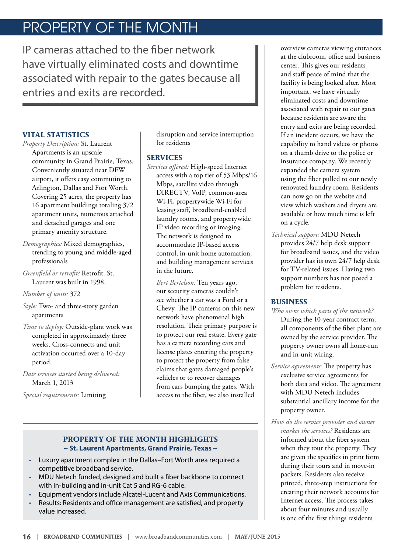# PROPERTY OF THE MONTH

IP cameras attached to the fiber network have virtually eliminated costs and downtime associated with repair to the gates because all entries and exits are recorded.

## **VITAL STATISTICS**

*Property Description:* St. Laurent

Apartments is an upscale community in Grand Prairie, Texas. Conveniently situated near DFW airport, it offers easy commuting to Arlington, Dallas and Fort Worth. Covering 25 acres, the property has 16 apartment buildings totaling 372 apartment units, numerous attached and detached garages and one primary amenity structure.

*Demographics:* Mixed demographics, trending to young and middle-aged professionals

*Greenfield or retrofit?* Retrofit. St. Laurent was built in 1998.

*Number of units:* 372

*Style:* Two- and three-story garden apartments

*Time to deploy:* Outside-plant work was completed in approximately three weeks. Cross-connects and unit activation occurred over a 10-day period.

*Date services started being delivered:*  March 1, 2013

*Special requirements:* Limiting

disruption and service interruption for residents

#### **SERVICES**

*Services offered:* High-speed Internet access with a top tier of 53 Mbps/16 Mbps, satellite video through DIRECTV, VoIP, common-area Wi-Fi, propertywide Wi-Fi for leasing staff, broadband-enabled laundry rooms, and propertywide IP video recording or imaging. The network is designed to accommodate IP-based access control, in-unit home automation, and building management services in the future.

*Bert Bertelson:* Ten years ago, our security cameras couldn't see whether a car was a Ford or a Chevy. The IP cameras on this new network have phenomenal high resolution. Their primary purpose is to protect our real estate. Every gate has a camera recording cars and license plates entering the property to protect the property from false claims that gates damaged people's vehicles or to recover damages from cars bumping the gates. With access to the fiber, we also installed

### **PROPERTY OF THE MONTH HIGHLIGHTS ~ St. Laurent Apartments, Grand Prairie, Texas ~**

- Luxury apartment complex in the Dallas–Fort Worth area required a competitive broadband service.
- MDU Netech funded, designed and built a fiber backbone to connect with in-building and in-unit Cat 5 and RG-6 cable.
- Equipment vendors include Alcatel-Lucent and Axis Communications.
- Results: Residents and office management are satisfied, and property value increased.

overview cameras viewing entrances at the clubroom, office and business center. This gives our residents and staff peace of mind that the facility is being looked after. Most important, we have virtually eliminated costs and downtime associated with repair to our gates because residents are aware the entry and exits are being recorded. If an incident occurs, we have the capability to hand videos or photos on a thumb drive to the police or insurance company. We recently expanded the camera system using the fiber pulled to our newly renovated laundry room. Residents can now go on the website and view which washers and dryers are available or how much time is left on a cycle.

*Technical support:* MDU Netech provides 24/7 help desk support for broadband issues, and the video provider has its own 24/7 help desk for TV-related issues. Having two support numbers has not posed a problem for residents.

## **BUSINESS**

- *Who owns which parts of the network?*  During the 10-year contract term, all components of the fiber plant are owned by the service provider. The property owner owns all home-run and in-unit wiring.
- *Service agreements:* The property has exclusive service agreements for both data and video. The agreement with MDU Netech includes substantial ancillary income for the property owner.
- *How do the service provider and owner market the services?* Residents are informed about the fiber system when they tour the property. They are given the specifics in print form during their tours and in move-in packets. Residents also receive printed, three-step instructions for creating their network accounts for Internet access. The process takes about four minutes and usually is one of the first things residents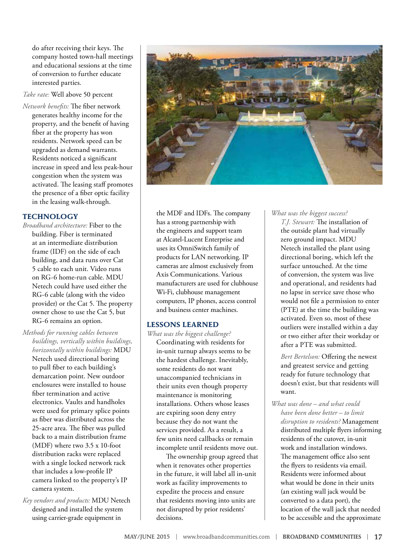do after receiving their keys. The company hosted town-hall meetings and educational sessions at the time of conversion to further educate interested parties.

#### *Take rate:* Well above 50 percent

*Network benefits:* The fiber network generates healthy income for the property, and the benefit of having fiber at the property has won residents. Network speed can be upgraded as demand warrants. Residents noticed a significant increase in speed and less peak-hour congestion when the system was activated. The leasing staff promotes the presence of a fiber optic facility in the leasing walk-through.

#### **TECHNOLOGY**

- *Broadband architecture:* Fiber to the building. Fiber is terminated at an intermediate distribution frame (IDF) on the side of each building, and data runs over Cat 5 cable to each unit. Video runs on RG-6 home-run cable. MDU Netech could have used either the RG-6 cable (along with the video provider) or the Cat 5. The property owner chose to use the Cat 5, but RG-6 remains an option.
- *Methods for running cables between buildings, vertically within buildings, horizontally within buildings:* MDU Netech used directional boring to pull fiber to each building's demarcation point. New outdoor enclosures were installed to house fiber termination and active electronics. Vaults and handholes were used for primary splice points
	- as fiber was distributed across the 25-acre area. The fiber was pulled back to a main distribution frame (MDF) where two 3.5 x 10-foot distribution racks were replaced with a single locked network rack that includes a low-profile IP camera linked to the property's IP camera system.
- *Key vendors and products:* MDU Netech designed and installed the system using carrier-grade equipment in



the MDF and IDFs. The company has a strong partnership with the engineers and support team at Alcatel-Lucent Enterprise and uses its OmniSwitch family of products for LAN networking. IP cameras are almost exclusively from Axis Communications. Various manufacturers are used for clubhouse Wi-Fi, clubhouse management computers, IP phones, access control and business center machines.

#### **LESSONS LEARNED**

*What was the biggest challenge?*  Coordinating with residents for in-unit turnup always seems to be the hardest challenge. Inevitably, some residents do not want unaccompanied technicians in their units even though property maintenance is monitoring installations. Others whose leases are expiring soon deny entry because they do not want the services provided. As a result, a few units need callbacks or remain incomplete until residents move out.

The ownership group agreed that when it renovates other properties in the future, it will label all in-unit work as facility improvements to expedite the process and ensure that residents moving into units are not disrupted by prior residents' decisions.

## *What was the biggest success?*

*T.J. Stewart:* The installation of the outside plant had virtually zero ground impact. MDU Netech installed the plant using directional boring, which left the surface untouched. At the time of conversion, the system was live and operational, and residents had no lapse in service save those who would not file a permission to enter (PTE) at the time the building was activated. Even so, most of these outliers were installed within a day or two either after their workday or after a PTE was submitted.

*Bert Bertelson:* Offering the newest and greatest service and getting ready for future technology that doesn't exist, but that residents will want.

*What was done – and what could have been done better – to limit disruption to residents?* Management distributed multiple flyers informing residents of the cutover, in-unit work and installation windows. The management office also sent the flyers to residents via email. Residents were informed about what would be done in their units (an existing wall jack would be converted to a data port), the location of the wall jack that needed to be accessible and the approximate